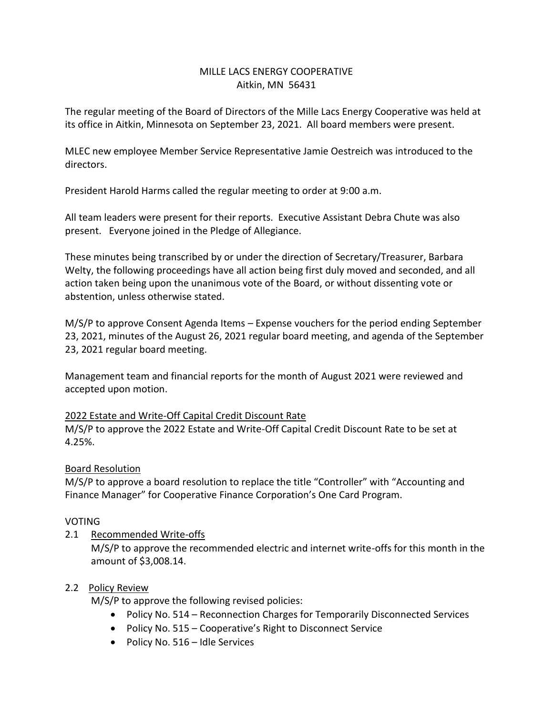# MILLE LACS ENERGY COOPERATIVE Aitkin, MN 56431

The regular meeting of the Board of Directors of the Mille Lacs Energy Cooperative was held at its office in Aitkin, Minnesota on September 23, 2021. All board members were present.

MLEC new employee Member Service Representative Jamie Oestreich was introduced to the directors.

President Harold Harms called the regular meeting to order at 9:00 a.m.

All team leaders were present for their reports. Executive Assistant Debra Chute was also present. Everyone joined in the Pledge of Allegiance.

These minutes being transcribed by or under the direction of Secretary/Treasurer, Barbara Welty, the following proceedings have all action being first duly moved and seconded, and all action taken being upon the unanimous vote of the Board, or without dissenting vote or abstention, unless otherwise stated.

M/S/P to approve Consent Agenda Items – Expense vouchers for the period ending September 23, 2021, minutes of the August 26, 2021 regular board meeting, and agenda of the September 23, 2021 regular board meeting.

Management team and financial reports for the month of August 2021 were reviewed and accepted upon motion.

## 2022 Estate and Write-Off Capital Credit Discount Rate

M/S/P to approve the 2022 Estate and Write-Off Capital Credit Discount Rate to be set at 4.25%.

## Board Resolution

M/S/P to approve a board resolution to replace the title "Controller" with "Accounting and Finance Manager" for Cooperative Finance Corporation's One Card Program.

## VOTING

2.1 Recommended Write-offs

M/S/P to approve the recommended electric and internet write-offs for this month in the amount of \$3,008.14.

## 2.2 Policy Review

M/S/P to approve the following revised policies:

- Policy No. 514 Reconnection Charges for Temporarily Disconnected Services
- Policy No. 515 Cooperative's Right to Disconnect Service
- Policy No. 516 Idle Services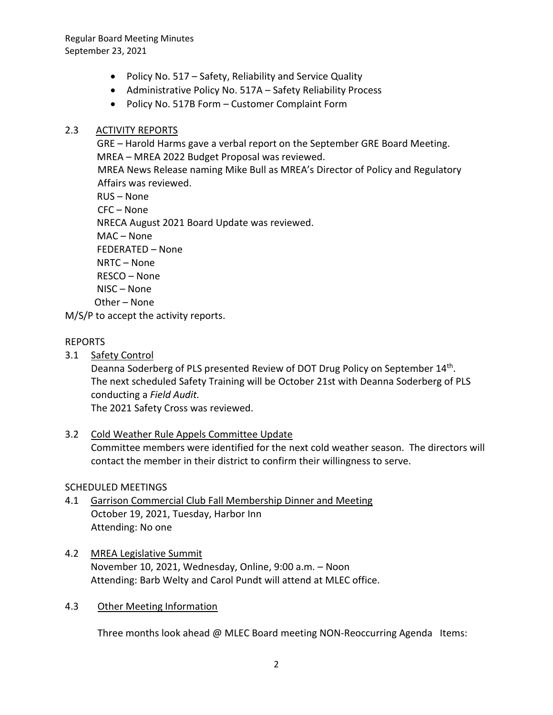Regular Board Meeting Minutes September 23, 2021

- Policy No. 517 Safety, Reliability and Service Quality
- Administrative Policy No. 517A Safety Reliability Process
- Policy No. 517B Form Customer Complaint Form

### 2.3 ACTIVITY REPORTS

 GRE – Harold Harms gave a verbal report on the September GRE Board Meeting. MREA – MREA 2022 Budget Proposal was reviewed. MREA News Release naming Mike Bull as MREA's Director of Policy and Regulatory Affairs was reviewed. RUS – None CFC – None NRECA August 2021 Board Update was reviewed. MAC – None FEDERATED – None NRTC – None RESCO – None NISC – None

Other – None

M/S/P to accept the activity reports.

### REPORTS

3.1 Safety Control

Deanna Soderberg of PLS presented Review of DOT Drug Policy on September 14<sup>th</sup>. The next scheduled Safety Training will be October 21st with Deanna Soderberg of PLS conducting a *Field Audit.* 

The 2021 Safety Cross was reviewed.

## 3.2 Cold Weather Rule Appels Committee Update

Committee members were identified for the next cold weather season. The directors will contact the member in their district to confirm their willingness to serve.

#### SCHEDULED MEETINGS

- 4.1 Garrison Commercial Club Fall Membership Dinner and Meeting October 19, 2021, Tuesday, Harbor Inn Attending: No one
- 4.2 MREA Legislative Summit November 10, 2021, Wednesday, Online, 9:00 a.m. – Noon Attending: Barb Welty and Carol Pundt will attend at MLEC office.

#### 4.3 Other Meeting Information

Three months look ahead @ MLEC Board meeting NON-Reoccurring Agenda Items: